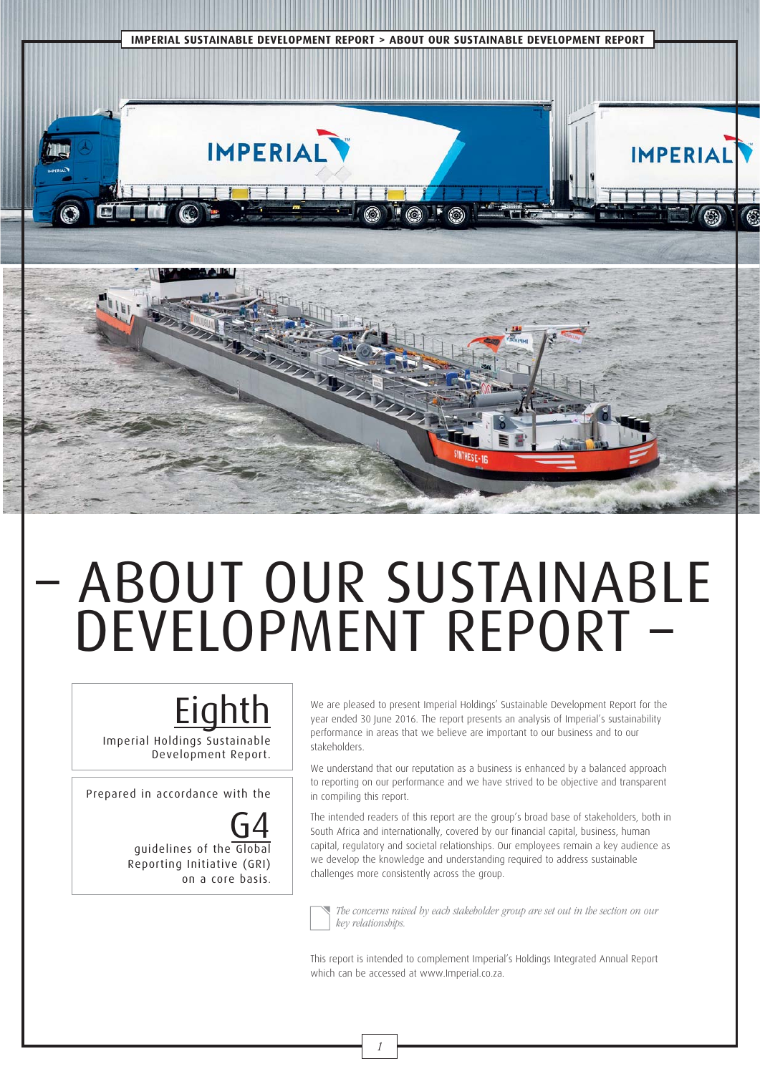

# – ABOUT OUR SUSTAINABLE DEVELOPMENT REPORT –

# **Eighth**

Imperial Holdings Sustainable Development Report.

Prepared in accordance with the

G4 guidelines of the Global Reporting Initiative (GRI) on a core basis.

We are pleased to present Imperial Holdings' Sustainable Development Report for the year ended 30 June 2016. The report presents an analysis of Imperial's sustainability performance in areas that we believe are important to our business and to our stakeholders.

We understand that our reputation as a business is enhanced by a balanced approach to reporting on our performance and we have strived to be objective and transparent in compiling this report.

The intended readers of this report are the group's broad base of stakeholders, both in South Africa and internationally, covered by our financial capital, business, human capital, regulatory and societal relationships. Our employees remain a key audience as we develop the knowledge and understanding required to address sustainable challenges more consistently across the group.



 The concerns raised by each stakeholder group are set out in the section on our key relationships.

This report is intended to complement Imperial's Holdings Integrated Annual Report which can be accessed at www.Imperial.co.za.